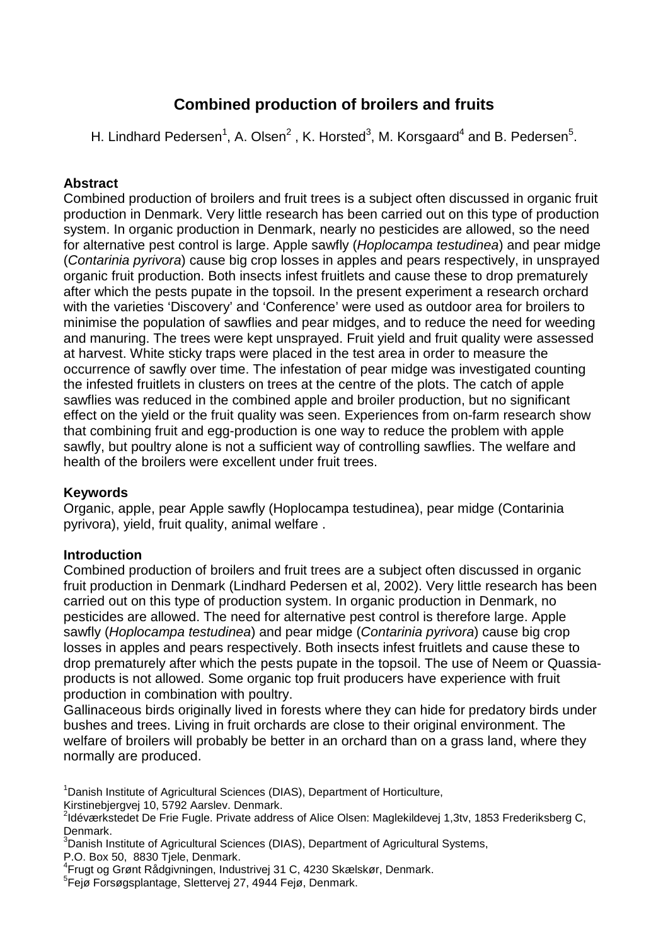# **Combined production of broilers and fruits**

H. Lindhard Pedersen<sup>1</sup>, A. Olsen<sup>2</sup>, K. Horsted<sup>3</sup>, M. Korsgaard<sup>4</sup> and B. Pedersen<sup>5</sup>.

# **Abstract**

Combined production of broilers and fruit trees is a subject often discussed in organic fruit production in Denmark. Very little research has been carried out on this type of production system. In organic production in Denmark, nearly no pesticides are allowed, so the need for alternative pest control is large. Apple sawfly (Hoplocampa testudinea) and pear midge (Contarinia pyrivora) cause big crop losses in apples and pears respectively, in unsprayed organic fruit production. Both insects infest fruitlets and cause these to drop prematurely after which the pests pupate in the topsoil. In the present experiment a research orchard with the varieties 'Discovery' and 'Conference' were used as outdoor area for broilers to minimise the population of sawflies and pear midges, and to reduce the need for weeding and manuring. The trees were kept unsprayed. Fruit yield and fruit quality were assessed at harvest. White sticky traps were placed in the test area in order to measure the occurrence of sawfly over time. The infestation of pear midge was investigated counting the infested fruitlets in clusters on trees at the centre of the plots. The catch of apple sawflies was reduced in the combined apple and broiler production, but no significant effect on the yield or the fruit quality was seen. Experiences from on-farm research show that combining fruit and egg-production is one way to reduce the problem with apple sawfly, but poultry alone is not a sufficient way of controlling sawflies. The welfare and health of the broilers were excellent under fruit trees.

# **Keywords**

Organic, apple, pear Apple sawfly (Hoplocampa testudinea), pear midge (Contarinia pyrivora), yield, fruit quality, animal welfare .

# **Introduction**

Combined production of broilers and fruit trees are a subject often discussed in organic fruit production in Denmark (Lindhard Pedersen et al, 2002). Very little research has been carried out on this type of production system. In organic production in Denmark, no pesticides are allowed. The need for alternative pest control is therefore large. Apple sawfly (Hoplocampa testudinea) and pear midge (Contarinia pyrivora) cause big crop losses in apples and pears respectively. Both insects infest fruitlets and cause these to drop prematurely after which the pests pupate in the topsoil. The use of Neem or Quassiaproducts is not allowed. Some organic top fruit producers have experience with fruit production in combination with poultry.

Gallinaceous birds originally lived in forests where they can hide for predatory birds under bushes and trees. Living in fruit orchards are close to their original environment. The welfare of broilers will probably be better in an orchard than on a grass land, where they normally are produced.

<sup>1</sup> Danish Institute of Agricultural Sciences (DIAS), Department of Horticulture,

Kirstinebjergvej 10, 5792 Aarslev. Denmark.

P.O. Box 50, 8830 Tjele, Denmark.

<sup>&</sup>lt;sup>2</sup>Idéværkstedet De Frie Fugle. Private address of Alice Olsen: Maglekildevej 1,3tv, 1853 Frederiksberg C, Denmark.

<sup>&</sup>lt;sup>3</sup>Danish Institute of Agricultural Sciences (DIAS), Department of Agricultural Systems,

<sup>4</sup> Frugt og Grønt Rådgivningen, Industrivej 31 C, 4230 Skælskør, Denmark.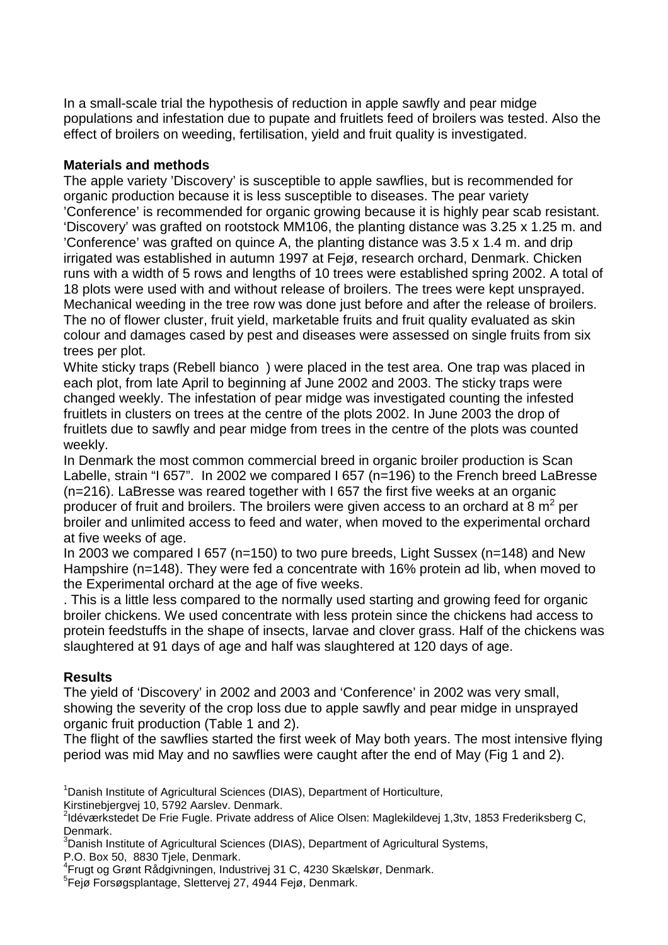In a small-scale trial the hypothesis of reduction in apple sawfly and pear midge populations and infestation due to pupate and fruitlets feed of broilers was tested. Also the effect of broilers on weeding, fertilisation, yield and fruit quality is investigated.

### **Materials and methods**

The apple variety 'Discovery' is susceptible to apple sawflies, but is recommended for organic production because it is less susceptible to diseases. The pear variety 'Conference' is recommended for organic growing because it is highly pear scab resistant. 'Discovery' was grafted on rootstock MM106, the planting distance was 3.25 x 1.25 m. and 'Conference' was grafted on quince A, the planting distance was 3.5 x 1.4 m. and drip irrigated was established in autumn 1997 at Fejø, research orchard, Denmark. Chicken runs with a width of 5 rows and lengths of 10 trees were established spring 2002. A total of 18 plots were used with and without release of broilers. The trees were kept unsprayed. Mechanical weeding in the tree row was done just before and after the release of broilers. The no of flower cluster, fruit yield, marketable fruits and fruit quality evaluated as skin colour and damages cased by pest and diseases were assessed on single fruits from six trees per plot.

White sticky traps (Rebell bianco®) were placed in the test area. One trap was placed in each plot, from late April to beginning af June 2002 and 2003. The sticky traps were changed weekly. The infestation of pear midge was investigated counting the infested fruitlets in clusters on trees at the centre of the plots 2002. In June 2003 the drop of fruitlets due to sawfly and pear midge from trees in the centre of the plots was counted weekly.

In Denmark the most common commercial breed in organic broiler production is Scan Labelle, strain "I 657". In 2002 we compared I 657 (n=196) to the French breed LaBresse (n=216). LaBresse was reared together with I 657 the first five weeks at an organic producer of fruit and broilers. The broilers were given access to an orchard at 8  $m^2$  per broiler and unlimited access to feed and water, when moved to the experimental orchard at five weeks of age.

In 2003 we compared I 657 (n=150) to two pure breeds, Light Sussex (n=148) and New Hampshire (n=148). They were fed a concentrate with 16% protein ad lib, when moved to the Experimental orchard at the age of five weeks.

. This is a little less compared to the normally used starting and growing feed for organic broiler chickens. We used concentrate with less protein since the chickens had access to protein feedstuffs in the shape of insects, larvae and clover grass. Half of the chickens was slaughtered at 91 days of age and half was slaughtered at 120 days of age.

# **Results**

The yield of 'Discovery' in 2002 and 2003 and 'Conference' in 2002 was very small, showing the severity of the crop loss due to apple sawfly and pear midge in unsprayed organic fruit production (Table 1 and 2).

The flight of the sawflies started the first week of May both years. The most intensive flying period was mid May and no sawflies were caught after the end of May (Fig 1 and 2).

<sup>1</sup> Danish Institute of Agricultural Sciences (DIAS), Department of Horticulture,

Kirstinebjergvej 10, 5792 Aarslev. Denmark.

P.O. Box 50, 8830 Tjele, Denmark.

<sup>&</sup>lt;sup>2</sup>Idéværkstedet De Frie Fugle. Private address of Alice Olsen: Maglekildevej 1,3tv, 1853 Frederiksberg C, Denmark.

<sup>&</sup>lt;sup>3</sup>Danish Institute of Agricultural Sciences (DIAS), Department of Agricultural Systems,

<sup>4</sup> Frugt og Grønt Rådgivningen, Industrivej 31 C, 4230 Skælskør, Denmark.

<sup>5</sup> Fejø Forsøgsplantage, Slettervej 27, 4944 Fejø, Denmark.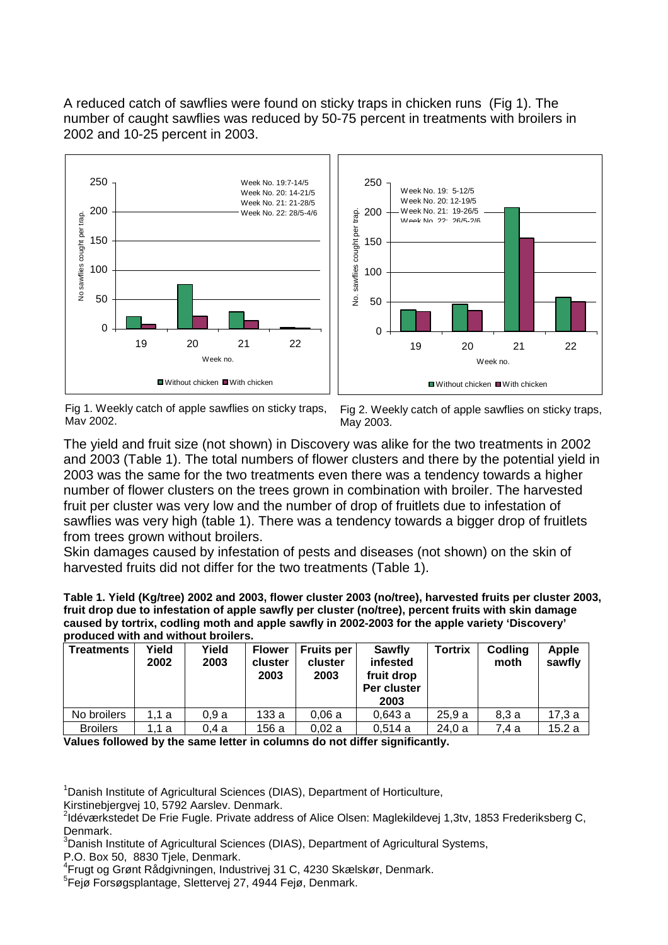A reduced catch of sawflies were found on sticky traps in chicken runs (Fig 1). The number of caught sawflies was reduced by 50-75 percent in treatments with broilers in 2002 and 10-25 percent in 2003.



Fig 1. Weekly catch of apple sawflies on sticky traps, May 2002.

Fig 2. Weekly catch of apple sawflies on sticky traps, May 2003.

The yield and fruit size (not shown) in Discovery was alike for the two treatments in 2002 and 2003 (Table 1). The total numbers of flower clusters and there by the potential yield in 2003 was the same for the two treatments even there was a tendency towards a higher number of flower clusters on the trees grown in combination with broiler. The harvested fruit per cluster was very low and the number of drop of fruitlets due to infestation of sawflies was very high (table 1). There was a tendency towards a bigger drop of fruitlets from trees grown without broilers.

Skin damages caused by infestation of pests and diseases (not shown) on the skin of harvested fruits did not differ for the two treatments (Table 1).

**Table 1. Yield (Kg/tree) 2002 and 2003, flower cluster 2003 (no/tree), harvested fruits per cluster 2003, fruit drop due to infestation of apple sawfly per cluster (no/tree), percent fruits with skin damage caused by tortrix, codling moth and apple sawfly in 2002-2003 for the apple variety 'Discovery' produced with and without broilers.** 

| <b>Treatments</b> | Yield<br>2002 | Yield<br>2003 | <b>Flower</b><br>cluster<br>2003 | <b>Fruits per</b><br>cluster<br>2003 | Sawfly<br>infested<br>fruit drop<br>Per cluster<br>2003 | <b>Tortrix</b> | Codling<br>moth | <b>Apple</b><br>sawfly |
|-------------------|---------------|---------------|----------------------------------|--------------------------------------|---------------------------------------------------------|----------------|-----------------|------------------------|
| No broilers       | 1.1 a         | 0.9a          | 133 a                            | 0.06a                                | 0,643a                                                  | 25.9a          | 8,3a            | 17.3a                  |
| <b>Broilers</b>   | .1 a          | 0.4a          | 156 a                            | 0.02a                                | 0,514a                                                  | 24.0a          | 7.4 a           | 15.2a                  |

**Values followed by the same letter in columns do not differ significantly.** 

<sup>1</sup> Danish Institute of Agricultural Sciences (DIAS), Department of Horticulture,

Kirstinebjergvej 10, 5792 Aarslev. Denmark.

<sup>3</sup>Danish Institute of Agricultural Sciences (DIAS), Department of Agricultural Systems,

P.O. Box 50, 8830 Tiele, Denmark.

4 Frugt og Grønt Rådgivningen, Industrivej 31 C, 4230 Skælskør, Denmark.

<sup>&</sup>lt;sup>2</sup>Idéværkstedet De Frie Fugle. Private address of Alice Olsen: Maglekildevej 1,3tv, 1853 Frederiksberg C, Denmark.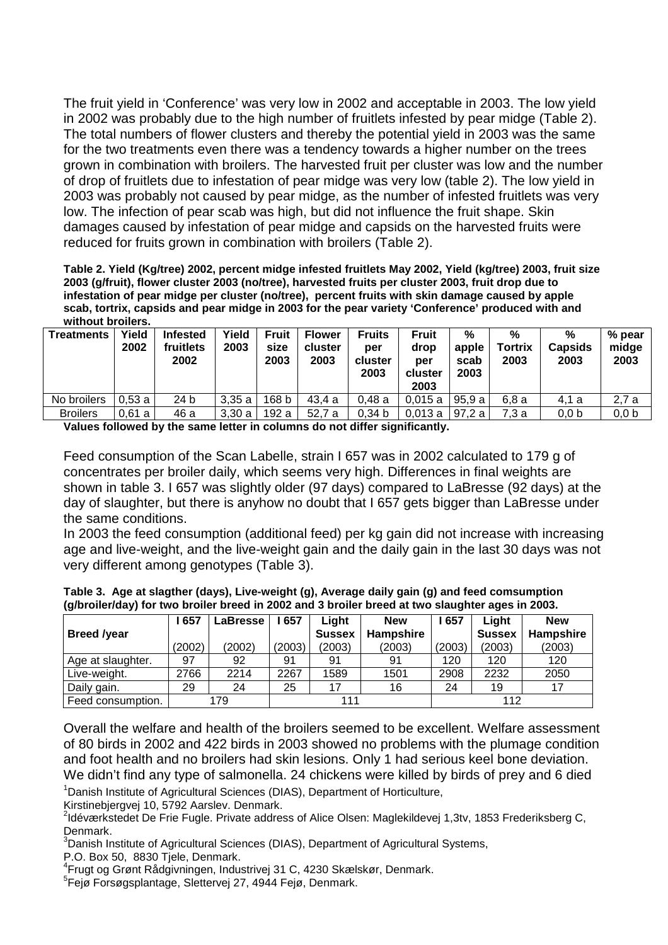The fruit yield in 'Conference' was very low in 2002 and acceptable in 2003. The low yield in 2002 was probably due to the high number of fruitlets infested by pear midge (Table 2). The total numbers of flower clusters and thereby the potential yield in 2003 was the same for the two treatments even there was a tendency towards a higher number on the trees grown in combination with broilers. The harvested fruit per cluster was low and the number of drop of fruitlets due to infestation of pear midge was very low (table 2). The low yield in 2003 was probably not caused by pear midge, as the number of infested fruitlets was very low. The infection of pear scab was high, but did not influence the fruit shape. Skin damages caused by infestation of pear midge and capsids on the harvested fruits were reduced for fruits grown in combination with broilers (Table 2).

**Table 2. Yield (Kg/tree) 2002, percent midge infested fruitlets May 2002, Yield (kg/tree) 2003, fruit size 2003 (g/fruit), flower cluster 2003 (no/tree), harvested fruits per cluster 2003, fruit drop due to infestation of pear midge per cluster (no/tree), percent fruits with skin damage caused by apple scab, tortrix, capsids and pear midge in 2003 for the pear variety 'Conference' produced with and without broilers.** 

| <b>Treatments</b> | Yield<br>2002 | <b>Infested</b><br>fruitlets<br>2002 | Yield<br>2003 | <b>Fruit</b><br>size<br>2003 | <b>Flower</b><br>cluster<br>2003 | <b>Fruits</b><br>per<br>cluster<br>2003 | Fruit<br>drop<br>per<br>cluster<br>2003 | $\frac{9}{6}$<br>apple<br>scab<br>2003 | %<br><b>Tortrix</b><br>2003 | %<br><b>Capsids</b><br>2003 | % pear<br>midge<br>2003 |
|-------------------|---------------|--------------------------------------|---------------|------------------------------|----------------------------------|-----------------------------------------|-----------------------------------------|----------------------------------------|-----------------------------|-----------------------------|-------------------------|
| No broilers       | 0.53a         | 24 b                                 | 3,35a         | 168 b                        | 43.4 a                           | 0.48a                                   | 0.015a                                  | 95.9 a                                 | 6.8 a                       | 4.1 a                       | 2.7 a                   |
| <b>Broilers</b>   | 0.61a         | 46 a                                 | 3.30a         | 192 a                        | 52.7 a                           | 0.34 <sub>b</sub>                       | 0,013a                                  | 97.2 a                                 | 7.3 a                       | 0.0 <sub>b</sub>            | 0.0 <sub>b</sub>        |

**Values followed by the same letter in columns do not differ significantly.** 

Feed consumption of the Scan Labelle, strain I 657 was in 2002 calculated to 179 g of concentrates per broiler daily, which seems very high. Differences in final weights are shown in table 3. I 657 was slightly older (97 days) compared to LaBresse (92 days) at the day of slaughter, but there is anyhow no doubt that I 657 gets bigger than LaBresse under the same conditions.

In 2003 the feed consumption (additional feed) per kg gain did not increase with increasing age and live-weight, and the live-weight gain and the daily gain in the last 30 days was not very different among genotypes (Table 3).

| $\sim$<br>. .      |        |          |        |               |                  | . .    |               |            |
|--------------------|--------|----------|--------|---------------|------------------|--------|---------------|------------|
|                    | 657    | ∟aBresse | 657    | Light         | <b>New</b>       | 657    | Light         | <b>New</b> |
| <b>Breed /year</b> |        |          |        | <b>Sussex</b> | <b>Hampshire</b> |        | <b>Sussex</b> | Hampshire  |
|                    | (2002) | (2002)   | (2003) | (2003)        | (2003)           | (2003) | (2003)        | (2003)     |
| Age at slaughter.  | 97     | 92       | 91     | 91            | 91               | 120    | 120           | 120        |
| Live-weight.       | 2766   | 2214     | 2267   | 1589          | 1501             | 2908   | 2232          | 2050       |
| Daily gain.        | 29     | 24       | 25     | 17            | 16               | 24     | 19            | 17         |
| Feed consumption.  |        | 179      |        | 111           |                  |        | 112           |            |

|  |                                                                                                  |  | Table 3.  Age at slagther (days), Live-weight (g), Average daily gain (g) and feed comsumption |
|--|--------------------------------------------------------------------------------------------------|--|------------------------------------------------------------------------------------------------|
|  | (g/broiler/day) for two broiler breed in 2002 and 3 broiler breed at two slaughter ages in 2003. |  |                                                                                                |

Overall the welfare and health of the broilers seemed to be excellent. Welfare assessment of 80 birds in 2002 and 422 birds in 2003 showed no problems with the plumage condition and foot health and no broilers had skin lesions. Only 1 had serious keel bone deviation.

<sup>1</sup> Danish Institute of Agricultural Sciences (DIAS), Department of Horticulture, We didn't find any type of salmonella. 24 chickens were killed by birds of prey and 6 died

Kirstinebjergvej 10, 5792 Aarslev. Denmark.

<sup>2</sup>Idéværkstedet De Frie Fugle. Private address of Alice Olsen: Maglekildevej 1,3tv, 1853 Frederiksberg C, Denmark.

<sup>3</sup>Danish Institute of Agricultural Sciences (DIAS), Department of Agricultural Systems,

P.O. Box 50, 8830 Tjele, Denmark.

4 Frugt og Grønt Rådgivningen, Industrivej 31 C, 4230 Skælskør, Denmark.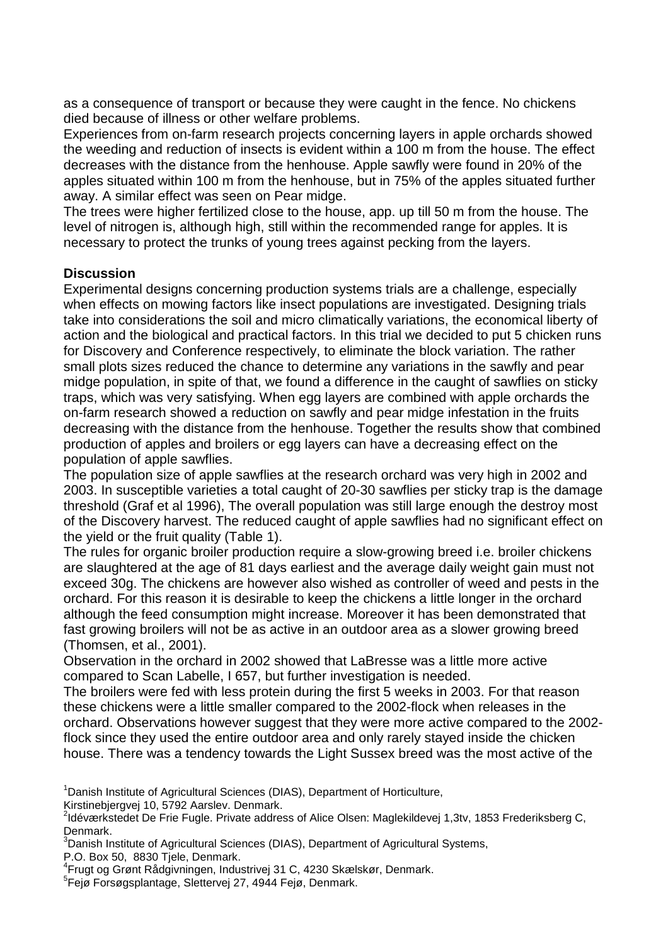as a consequence of transport or because they were caught in the fence. No chickens died because of illness or other welfare problems.

Experiences from on-farm research projects concerning layers in apple orchards showed the weeding and reduction of insects is evident within a 100 m from the house. The effect decreases with the distance from the henhouse. Apple sawfly were found in 20% of the apples situated within 100 m from the henhouse, but in 75% of the apples situated further away. A similar effect was seen on Pear midge.

The trees were higher fertilized close to the house, app. up till 50 m from the house. The level of nitrogen is, although high, still within the recommended range for apples. It is necessary to protect the trunks of young trees against pecking from the layers.

#### **Discussion**

Experimental designs concerning production systems trials are a challenge, especially when effects on mowing factors like insect populations are investigated. Designing trials take into considerations the soil and micro climatically variations, the economical liberty of action and the biological and practical factors. In this trial we decided to put 5 chicken runs for Discovery and Conference respectively, to eliminate the block variation. The rather small plots sizes reduced the chance to determine any variations in the sawfly and pear midge population, in spite of that, we found a difference in the caught of sawflies on sticky traps, which was very satisfying. When egg layers are combined with apple orchards the on-farm research showed a reduction on sawfly and pear midge infestation in the fruits decreasing with the distance from the henhouse. Together the results show that combined production of apples and broilers or egg layers can have a decreasing effect on the population of apple sawflies.

The population size of apple sawflies at the research orchard was very high in 2002 and 2003. In susceptible varieties a total caught of 20-30 sawflies per sticky trap is the damage threshold (Graf et al 1996), The overall population was still large enough the destroy most of the Discovery harvest. The reduced caught of apple sawflies had no significant effect on the yield or the fruit quality (Table 1).

The rules for organic broiler production require a slow-growing breed i.e. broiler chickens are slaughtered at the age of 81 days earliest and the average daily weight gain must not exceed 30g. The chickens are however also wished as controller of weed and pests in the orchard. For this reason it is desirable to keep the chickens a little longer in the orchard although the feed consumption might increase. Moreover it has been demonstrated that fast growing broilers will not be as active in an outdoor area as a slower growing breed (Thomsen, et al., 2001).

Observation in the orchard in 2002 showed that LaBresse was a little more active compared to Scan Labelle, I 657, but further investigation is needed.

The broilers were fed with less protein during the first 5 weeks in 2003. For that reason these chickens were a little smaller compared to the 2002-flock when releases in the orchard. Observations however suggest that they were more active compared to the 2002flock since they used the entire outdoor area and only rarely stayed inside the chicken house. There was a tendency towards the Light Sussex breed was the most active of the

<sup>1</sup> Danish Institute of Agricultural Sciences (DIAS), Department of Horticulture,

Kirstinebjergvej 10, 5792 Aarslev. Denmark.

<sup>3</sup>Danish Institute of Agricultural Sciences (DIAS), Department of Agricultural Systems,

P.O. Box 50, 8830 Tjele, Denmark.

<sup>&</sup>lt;sup>2</sup>Idéværkstedet De Frie Fugle. Private address of Alice Olsen: Maglekildevej 1,3tv, 1853 Frederiksberg C, Denmark.

<sup>4</sup> Frugt og Grønt Rådgivningen, Industrivej 31 C, 4230 Skælskør, Denmark.